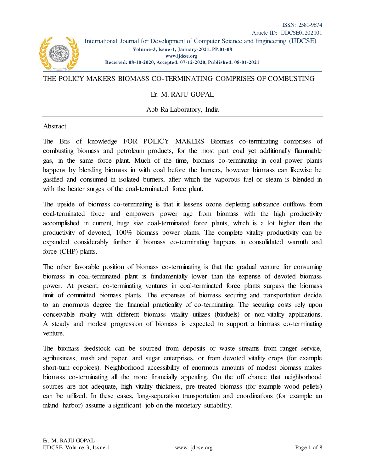

## THE POLICY MAKERS BIOMASS CO-TERMINATING COMPRISES OF COMBUSTING

## Er. M. RAJU GOPAL

Abb Ra Laboratory, India

## Abstract

The Bits of knowledge FOR POLICY MAKERS Biomass co-terminating comprises of combusting biomass and petroleum products, for the most part coal yet additionally flammable gas, in the same force plant. Much of the time, biomass co-terminating in coal power plants happens by blending biomass in with coal before the burners, however biomass can likewise be gasified and consumed in isolated burners, after which the vaporous fuel or steam is blended in with the heater surges of the coal-terminated force plant.

The upside of biomass co-terminating is that it lessens ozone depleting substance outflows from coal-terminated force and empowers power age from biomass with the high productivity accomplished in current, huge size coal-terminated force plants, which is a lot higher than the productivity of devoted, 100% biomass power plants. The complete vitality productivity can be expanded considerably further if biomass co-terminating happens in consolidated warmth and force (CHP) plants.

The other favorable position of biomass co-terminating is that the gradual venture for consuming biomass in coal-terminated plant is fundamentally lower than the expense of devoted biomass power. At present, co-terminating ventures in coal-terminated force plants surpass the biomass limit of committed biomass plants. The expenses of biomass securing and transportation decide to an enormous degree the financial practicality of co-terminating. The securing costs rely upon conceivable rivalry with different biomass vitality utilizes (biofuels) or non-vitality applications. A steady and modest progression of biomass is expected to support a biomass co-terminating venture.

The biomass feedstock can be sourced from deposits or waste streams from ranger service, agribusiness, mash and paper, and sugar enterprises, or from devoted vitality crops (for example short-turn coppices). Neighborhood accessibility of enormous amounts of modest biomass makes biomass co-terminating all the more financially appealing. On the off chance that neighborhood sources are not adequate, high vitality thickness, pre-treated biomass (for example wood pellets) can be utilized. In these cases, long-separation transportation and coordinations (for example an inland harbor) assume a significant job on the monetary suitability.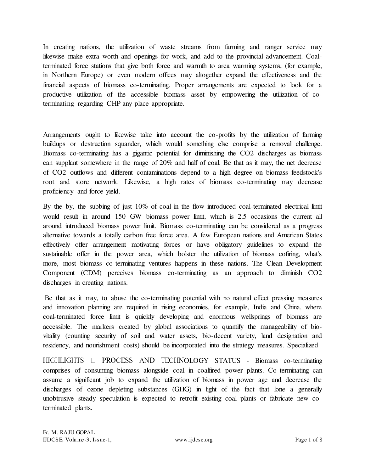In creating nations, the utilization of waste streams from farming and ranger service may likewise make extra worth and openings for work, and add to the provincial advancement. Coalterminated force stations that give both force and warmth to area warming systems, (for example, in Northern Europe) or even modern offices may altogether expand the effectiveness and the financial aspects of biomass co-terminating. Proper arrangements are expected to look for a productive utilization of the accessible biomass asset by empowering the utilization of coterminating regarding CHP any place appropriate.

Arrangements ought to likewise take into account the co-profits by the utilization of farming buildups or destruction squander, which would something else comprise a removal challenge. Biomass co-terminating has a gigantic potential for diminishing the CO2 discharges as biomass can supplant somewhere in the range of 20% and half of coal. Be that as it may, the net decrease of CO2 outflows and different contaminations depend to a high degree on biomass feedstock's root and store network. Likewise, a high rates of biomass co-terminating may decrease proficiency and force yield.

By the by, the subbing of just 10% of coal in the flow introduced coal-terminated electrical limit would result in around 150 GW biomass power limit, which is 2.5 occasions the current all around introduced biomass power limit. Biomass co-terminating can be considered as a progress alternative towards a totally carbon free force area. A few European nations and American States effectively offer arrangement motivating forces or have obligatory guidelines to expand the sustainable offer in the power area, which bolster the utilization of biomass cofiring, what's more, most biomass co-terminating ventures happens in these nations. The Clean Development Component (CDM) perceives biomass co-terminating as an approach to diminish CO2 discharges in creating nations.

 Be that as it may, to abuse the co-terminating potential with no natural effect pressing measures and innovation planning are required in rising economies, for example, India and China, where coal-terminated force limit is quickly developing and enormous wellsprings of biomass are accessible. The markers created by global associations to quantify the manageability of biovitality (counting security of soil and water assets, bio-decent variety, land designation and residency, and nourishment costs) should be incorporated into the strategy measures. Specialized

HIGHLIGHTS  $\Box$  PROCESS AND TECHNOLOGY STATUS - Biomass co-terminating comprises of consuming biomass alongside coal in coalfired power plants. Co-terminating can assume a significant job to expand the utilization of biomass in power age and decrease the discharges of ozone depleting substances (GHG) in light of the fact that lone a generally unobtrusive steady speculation is expected to retrofit existing coal plants or fabricate new coterminated plants.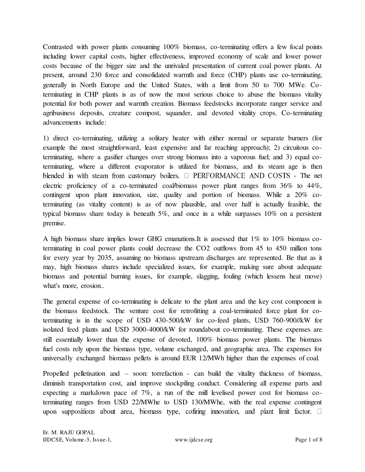Contrasted with power plants consuming 100% biomass, co-terminating offers a few focal points including lower capital costs, higher effectiveness, improved economy of scale and lower power costs because of the bigger size and the unrivaled presentation of current coal power plants. At present, around 230 force and consolidated warmth and force (CHP) plants use co-terminating, generally in North Europe and the United States, with a limit from 50 to 700 MWe. Coterminating in CHP plants is as of now the most serious choice to abuse the biomass vitality potential for both power and warmth creation. Biomass feedstocks incorporate ranger service and agribusiness deposits, creature compost, squander, and devoted vitality crops. Co-terminating advancements include:

1) direct co-terminating, utilizing a solitary heater with either normal or separate burners (for example the most straightforward, least expensive and far reaching approach); 2) circuitous coterminating, where a gasifier changes over strong biomass into a vaporous fuel; and 3) equal coterminating, where a different evaporator is utilized for biomass, and its steam age is then blended in with steam from customary boilers.  $\Box$  PERFORMANCE AND COSTS - The net electric proficiency of a co-terminated coal/biomass power plant ranges from 36% to 44%, contingent upon plant innovation, size, quality and portion of biomass. While a 20% coterminating (as vitality content) is as of now plausible, and over half is actually feasible, the typical biomass share today is beneath  $5\%$ , and once in a while surpasses  $10\%$  on a persistent premise.

A high biomass share implies lower GHG emanations.It is assessed that 1% to 10% biomass coterminating in coal power plants could decrease the CO2 outflows from 45 to 450 million tons for every year by 2035, assuming no biomass upstream discharges are represented. Be that as it may, high biomass shares include specialized issues, for example, making sure about adequate biomass and potential burning issues, for example, slagging, fouling (which lessens heat move) what's more, erosion..

The general expense of co-terminating is delicate to the plant area and the key cost component is the biomass feedstock. The venture cost for retrofitting a coal-terminated force plant for coterminating is in the scope of USD 430-500/kW for co-feed plants, USD 760-900//kW for isolated feed plants and USD 3000-4000/kW for roundabout co-terminating. These expenses are still essentially lower than the expense of devoted, 100% biomass power plants. The biomass fuel costs rely upon the biomass type, volume exchanged, and geographic area. The expenses for universally exchanged biomass pellets is around EUR 12/MWh higher than the expenses of coal.

Propelled pelletisation and – soon: torrefaction - can build the vitality thickness of biomass, diminish transportation cost, and improve stockpiling conduct. Considering all expense parts and expecting a markdown pace of 7%, a run of the mill levelised power cost for biomass coterminating ranges from USD 22/MWhe to USD 130/MWhe, with the real expense contingent upon suppositions about area, biomass type, cofiring innovation, and plant limit factor.  $\square$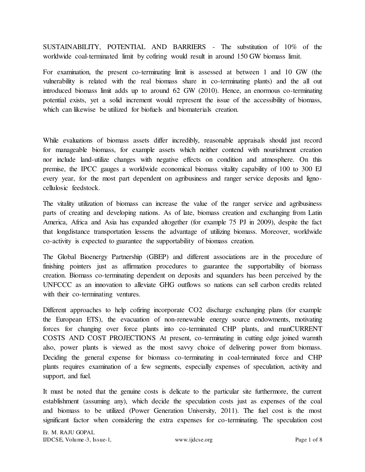SUSTAINABILITY, POTENTIAL AND BARRIERS - The substitution of 10% of the worldwide coal-terminated limit by cofiring would result in around 150 GW biomass limit.

For examination, the present co-terminating limit is assessed at between 1 and 10 GW (the vulnerability is related with the real biomass share in co-terminating plants) and the all out introduced biomass limit adds up to around 62 GW (2010). Hence, an enormous co-terminating potential exists, yet a solid increment would represent the issue of the accessibility of biomass, which can likewise be utilized for biofuels and biomaterials creation.

While evaluations of biomass assets differ incredibly, reasonable appraisals should just record for manageable biomass, for example assets which neither contend with nourishment creation nor include land-utilize changes with negative effects on condition and atmosphere. On this premise, the IPCC gauges a worldwide economical biomass vitality capability of 100 to 300 EJ every year, for the most part dependent on agribusiness and ranger service deposits and lignocellulosic feedstock.

The vitality utilization of biomass can increase the value of the ranger service and agribusiness parts of creating and developing nations. As of late, biomass creation and exchanging from Latin America, Africa and Asia has expanded altogether (for example 75 PJ in 2009), despite the fact that longdistance transportation lessens the advantage of utilizing biomass. Moreover, worldwide co-activity is expected to guarantee the supportability of biomass creation.

The Global Bioenergy Partnership (GBEP) and different associations are in the procedure of finishing pointers just as affirmation procedures to guarantee the supportability of biomass creation. Biomass co-terminating dependent on deposits and squanders has been perceived by the UNFCCC as an innovation to alleviate GHG outflows so nations can sell carbon credits related with their co-terminating ventures.

Different approaches to help cofiring incorporate CO2 discharge exchanging plans (for example the European ETS), the evacuation of non-renewable energy source endowments, motivating forces for changing over force plants into co-terminated CHP plants, and manCURRENT COSTS AND COST PROJECTIONS At present, co-terminating in cutting edge joined warmth also, power plants is viewed as the most savvy choice of delivering power from biomass. Deciding the general expense for biomass co-terminating in coal-terminated force and CHP plants requires examination of a few segments, especially expenses of speculation, activity and support, and fuel.

It must be noted that the genuine costs is delicate to the particular site furthermore, the current establishment (assuming any), which decide the speculation costs just as expenses of the coal and biomass to be utilized (Power Generation University, 2011). The fuel cost is the most significant factor when considering the extra expenses for co-terminating. The speculation cost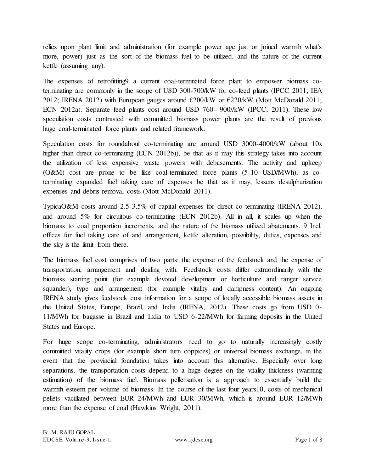relies upon plant limit and administration (for example power age just or joined warmth what's more, power) just as the sort of the biomass fuel to be utilized, and the nature of the current kettle (assuming any).

The expenses of retrofitting9 a current coal-terminated force plant to empower biomass coterminating are commonly in the scope of USD 300-700/kW for co-feed plants (IPCC 2011; IEA 2012; IRENA 2012) with European gauges around £200/kW or  $\epsilon$ 220/kW (Mott McDonald 2011; ECN 2012a). Separate feed plants cost around USD 760- 900//kW (IPCC, 2011). These low speculation costs contrasted with committed biomass power plants are the result of previous huge coal-terminated force plants and related framework.

Speculation costs for roundabout co-terminating are around USD 3000-4000/kW (about 10x higher than direct co-terminating (ECN 2012b)), be that as it may this strategy takes into account the utilization of less expensive waste powers with debasements. The activity and upkeep (O&M) cost are prone to be like coal-terminated force plants (5-10 USD/MWh), as coterminating expanded fuel taking care of expenses be that as it may, lessens desulphurization expenses and debris removal costs (Mott McDonald 2011).

TypicaO&M costs around 2.5-3.5% of capital expenses for direct co-terminating (IRENA 2012), and around 5% for circuitous co-terminating (ECN 2012b). All in all, it scales up when the biomass to coal proportion increments, and the nature of the biomass utilized abatements. 9 Incl. offices for fuel taking care of and arrangement, kettle alteration, possibility, duties, expenses and the sky is the limit from there.

The biomass fuel cost comprises of two parts: the expense of the feedstock and the expense of transportation, arrangement and dealing with. Feedstock costs differ extraordinarily with the biomass starting point (for example devoted development or horticulture and ranger service squander), type and arrangement (for example vitality and dampness content). An ongoing IRENA study gives feedstock cost information for a scope of locally accessible biomass assets in the United States, Europe, Brazil, and India (IRENA, 2012). These costs go from USD 0- 11/MWh for bagasse in Brazil and India to USD 6-22/MWh for farming deposits in the United States and Europe.

For huge scope co-terminating, administrators need to go to naturally increasingly costly committed vitality crops (for example short turn coppices) or universal biomass exchange, in the event that the provincial foundation takes into account this alternative. Especially over long separations, the transportation costs depend to a huge degree on the vitality thickness (warming estimation) of the biomass fuel. Biomass pelletisation is a approach to essentially build the warmth esteem per volume of biomass. In the course of the last four years10, costs of mechanical pellets vacillated between EUR 24/MWh and EUR 30/MWh, which is around EUR 12/MWh more than the expense of coal (Hawkins Wright, 2011).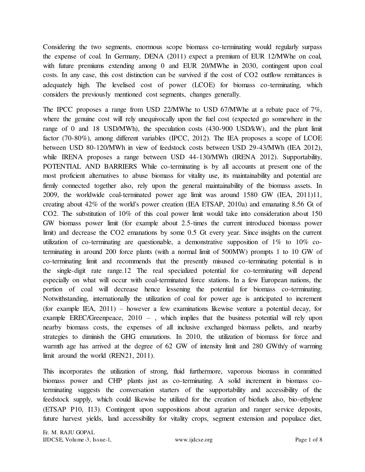Considering the two segments, enormous scope biomass co-terminating would regularly surpass the expense of coal. In Germany, DENA (2011) expect a premium of EUR 12/MWhe on coal, with future premiums extending among 0 and EUR 20/MWhe in 2030, contingent upon coal costs. In any case, this cost distinction can be survived if the cost of CO2 outflow remittances is adequately high. The levelised cost of power (LCOE) for biomass co-terminating, which considers the previously mentioned cost segments, changes generally.

The IPCC proposes a range from USD 22/MWhe to USD 67/MWhe at a rebate pace of 7%, where the genuine cost will rely unequivocally upon the fuel cost (expected go somewhere in the range of 0 and 18 USD/MWh), the speculation costs (430-900 USD/kW), and the plant limit factor (70-80%), among different variables (IPCC, 2012). The IEA proposes a scope of LCOE between USD 80-120/MWh in view of feedstock costs between USD 29-43/MWh (IEA 2012), while IRENA proposes a range between USD 44-130/MWh (IRENA 2012). Supportability, POTENTIAL AND BARRIERS While co-terminating is by all accounts at present one of the most proficient alternatives to abuse biomass for vitality use, its maintainability and potential are firmly connected together also, rely upon the general maintainability of the biomass assets. In 2009, the worldwide coal-terminated power age limit was around 1580 GW (IEA, 2011)11, creating about 42% of the world's power creation (IEA ETSAP, 2010a) and emanating 8.56 Gt of CO2. The substitution of 10% of this coal power limit would take into consideration about 150 GW biomass power limit (for example about 2.5-times the current introduced biomass power limit) and decrease the CO2 emanations by some 0.5 Gt every year. Since insights on the current utilization of co-terminating are questionable, a demonstrative supposition of  $1\%$  to  $10\%$  coterminating in around 200 force plants (with a normal limit of 500MW) prompts 1 to 10 GW of co-terminating limit and recommends that the presently misused co-terminating potential is in the single-digit rate range.12 The real specialized potential for co-terminating will depend especially on what will occur with coal-terminated force stations. In a few European nations, the portion of coal will decrease hence lessening the potential for biomass co-terminating. Notwithstanding, internationally the utilization of coal for power age is anticipated to increment (for example IEA, 2011) – however a few examinations likewise venture a potential decay, for example EREC/Greenpeace, 2010 – , which implies that the business potential will rely upon nearby biomass costs, the expenses of all inclusive exchanged biomass pellets, and nearby strategies to diminish the GHG emanations. In 2010, the utilization of biomass for force and warmth age has arrived at the degree of 62 GW of intensity limit and 280 GWth/y of warming limit around the world (REN21, 2011).

This incorporates the utilization of strong, fluid furthermore, vaporous biomass in committed biomass power and CHP plants just as co-terminating. A solid increment in biomass coterminating suggests the conversation starters of the supportability and accessibility of the feedstock supply, which could likewise be utilized for the creation of biofuels also, bio-ethylene (ETSAP P10, I13). Contingent upon suppositions about agrarian and ranger service deposits, future harvest yields, land accessibility for vitality crops, segment extension and populace diet,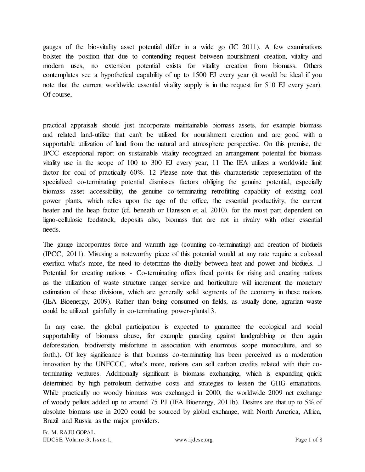gauges of the bio-vitality asset potential differ in a wide go (IC 2011). A few examinations bolster the position that due to contending request between nourishment creation, vitality and modern uses, no extension potential exists for vitality creation from biomass. Others contemplates see a hypothetical capability of up to 1500 EJ every year (it would be ideal if you note that the current worldwide essential vitality supply is in the request for 510 EJ every year). Of course,

practical appraisals should just incorporate maintainable biomass assets, for example biomass and related land-utilize that can't be utilized for nourishment creation and are good with a supportable utilization of land from the natural and atmosphere perspective. On this premise, the IPCC exceptional report on sustainable vitality recognized an arrangement potential for biomass vitality use in the scope of 100 to 300 EJ every year, 11 The IEA utilizes a worldwide limit factor for coal of practically 60%. 12 Please note that this characteristic representation of the specialized co-terminating potential dismisses factors obliging the genuine potential, especially biomass asset accessibility, the genuine co-terminating retrofitting capability of existing coal power plants, which relies upon the age of the office, the essential productivity, the current heater and the heap factor (cf. beneath or Hansson et al. 2010). for the most part dependent on ligno-cellulosic feedstock, deposits also, biomass that are not in rivalry with other essential needs.

The gauge incorporates force and warmth age (counting co-terminating) and creation of biofuels (IPCC, 2011). Misusing a noteworthy piece of this potential would at any rate require a colossal exertion what's more, the need to determine the duality between heat and power and biofuels.  $\Box$ Potential for creating nations - Co-terminating offers focal points for rising and creating nations as the utilization of waste structure ranger service and horticulture will increment the monetary estimation of these divisions, which are generally solid segments of the economy in these nations (IEA Bioenergy, 2009). Rather than being consumed on fields, as usually done, agrarian waste could be utilized gainfully in co-terminating power-plants13.

 In any case, the global participation is expected to guarantee the ecological and social supportability of biomass abuse, for example guarding against landgrabbing or then again deforestation, biodiversity misfortune in association with enormous scope monoculture, and so forth.). Of key significance is that biomass co-terminating has been perceived as a moderation innovation by the UNFCCC, what's more, nations can sell carbon credits related with their coterminating ventures. Additionally significant is biomass exchanging, which is expanding quick determined by high petroleum derivative costs and strategies to lessen the GHG emanations. While practically no woody biomass was exchanged in 2000, the worldwide 2009 net exchange of woody pellets added up to around 75 PJ (IEA Bioenergy, 2011b). Desires are that up to 5% of absolute biomass use in 2020 could be sourced by global exchange, with North America, Africa, Brazil and Russia as the major providers.